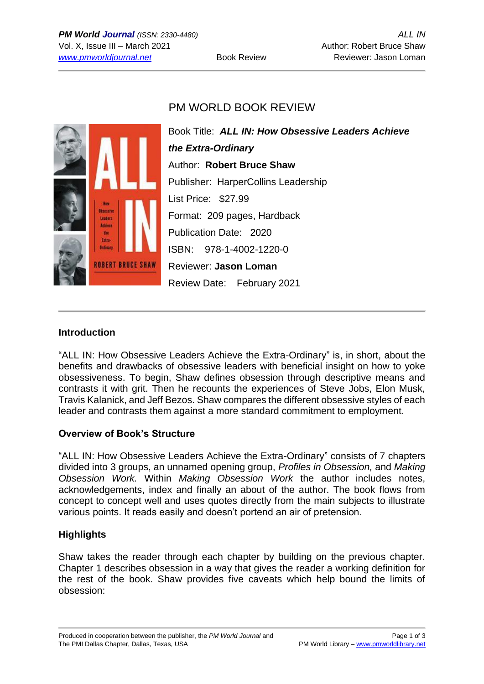# PM WORLD BOOK REVIEW



Book Title: *ALL IN: How Obsessive Leaders Achieve the Extra-Ordinary* Author: **Robert Bruce Shaw** Publisher: HarperCollins Leadership List Price: \$27.99 Format: 209 pages, Hardback Publication Date: 2020 ISBN: 978-1-4002-1220-0 Reviewer: **Jason Loman** Review Date: February 2021

### **Introduction**

"ALL IN: How Obsessive Leaders Achieve the Extra-Ordinary" is, in short, about the benefits and drawbacks of obsessive leaders with beneficial insight on how to yoke obsessiveness. To begin, Shaw defines obsession through descriptive means and contrasts it with grit. Then he recounts the experiences of Steve Jobs, Elon Musk, Travis Kalanick, and Jeff Bezos. Shaw compares the different obsessive styles of each leader and contrasts them against a more standard commitment to employment.

### **Overview of Book's Structure**

"ALL IN: How Obsessive Leaders Achieve the Extra-Ordinary" consists of 7 chapters divided into 3 groups, an unnamed opening group, *Profiles in Obsession,* and *Making Obsession Work.* Within *Making Obsession Work* the author includes notes, acknowledgements, index and finally an about of the author. The book flows from concept to concept well and uses quotes directly from the main subjects to illustrate various points. It reads easily and doesn't portend an air of pretension.

### **Highlights**

Shaw takes the reader through each chapter by building on the previous chapter. Chapter 1 describes obsession in a way that gives the reader a working definition for the rest of the book. Shaw provides five caveats which help bound the limits of obsession: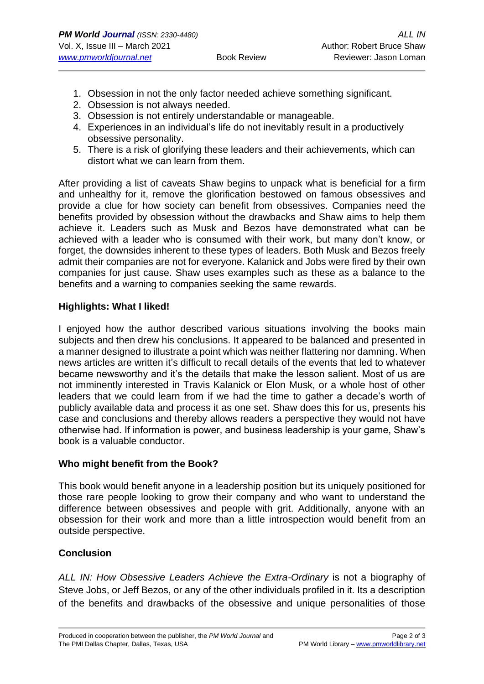- 1. Obsession in not the only factor needed achieve something significant.
- 2. Obsession is not always needed.
- 3. Obsession is not entirely understandable or manageable.
- 4. Experiences in an individual's life do not inevitably result in a productively obsessive personality.
- 5. There is a risk of glorifying these leaders and their achievements, which can distort what we can learn from them.

After providing a list of caveats Shaw begins to unpack what is beneficial for a firm and unhealthy for it, remove the glorification bestowed on famous obsessives and provide a clue for how society can benefit from obsessives. Companies need the benefits provided by obsession without the drawbacks and Shaw aims to help them achieve it. Leaders such as Musk and Bezos have demonstrated what can be achieved with a leader who is consumed with their work, but many don't know, or forget, the downsides inherent to these types of leaders. Both Musk and Bezos freely admit their companies are not for everyone. Kalanick and Jobs were fired by their own companies for just cause. Shaw uses examples such as these as a balance to the benefits and a warning to companies seeking the same rewards.

### **Highlights: What I liked!**

I enjoyed how the author described various situations involving the books main subjects and then drew his conclusions. It appeared to be balanced and presented in a manner designed to illustrate a point which was neither flattering nor damning. When news articles are written it's difficult to recall details of the events that led to whatever became newsworthy and it's the details that make the lesson salient. Most of us are not imminently interested in Travis Kalanick or Elon Musk, or a whole host of other leaders that we could learn from if we had the time to gather a decade's worth of publicly available data and process it as one set. Shaw does this for us, presents his case and conclusions and thereby allows readers a perspective they would not have otherwise had. If information is power, and business leadership is your game, Shaw's book is a valuable conductor.

### **Who might benefit from the Book?**

This book would benefit anyone in a leadership position but its uniquely positioned for those rare people looking to grow their company and who want to understand the difference between obsessives and people with grit. Additionally, anyone with an obsession for their work and more than a little introspection would benefit from an outside perspective.

### **Conclusion**

*ALL IN: How Obsessive Leaders Achieve the Extra-Ordinary* is not a biography of Steve Jobs, or Jeff Bezos, or any of the other individuals profiled in it. Its a description of the benefits and drawbacks of the obsessive and unique personalities of those